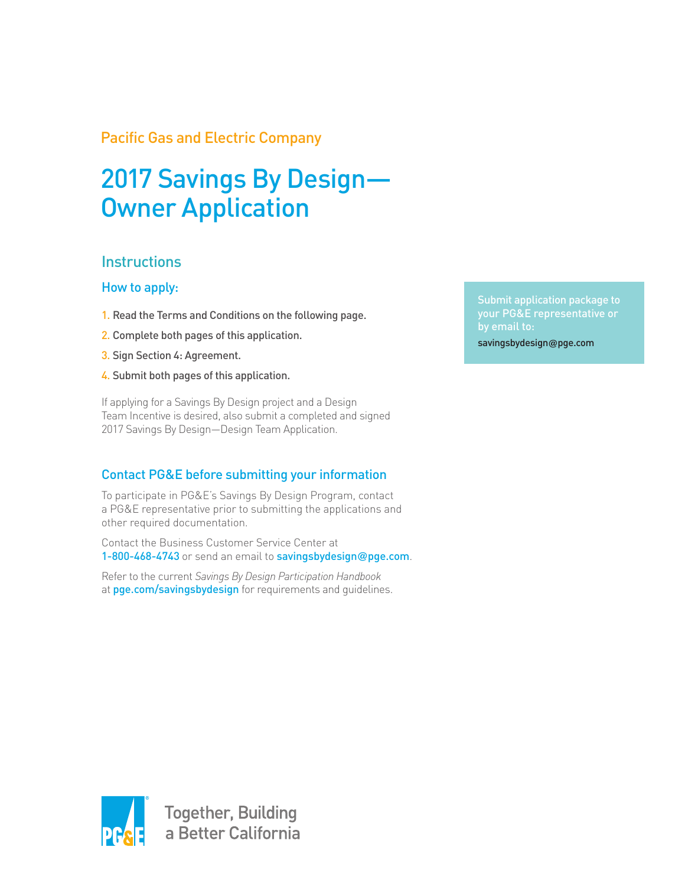# Pacific Gas and Electric Company

# 2017 Savings By Design— Owner Application

# **Instructions**

#### How to apply:

- 1. Read the Terms and Conditions on the following page.
- 2. Complete both pages of this application.
- 3. Sign Section 4: Agreement.
- 4. Submit both pages of this application.

If applying for a Savings By Design project and a Design Team Incentive is desired, also submit a completed and signed 2017 Savings By Design—Design Team Application.

## Contact PG&E before submitting your information

To participate in PG&E's Savings By Design Program, contact a PG&E representative prior to submitting the applications and other required documentation.

Contact the Business Customer Service Center at 1-800-468-4743 or send an email to savingsbydesign**@**pge.com.

Refer to the current *Savings By Design Participation Handbook* at pge.com/savingsbydesign for requirements and quidelines. Submit application package to your PG&E representative or savingsbydesign**@**pge.com

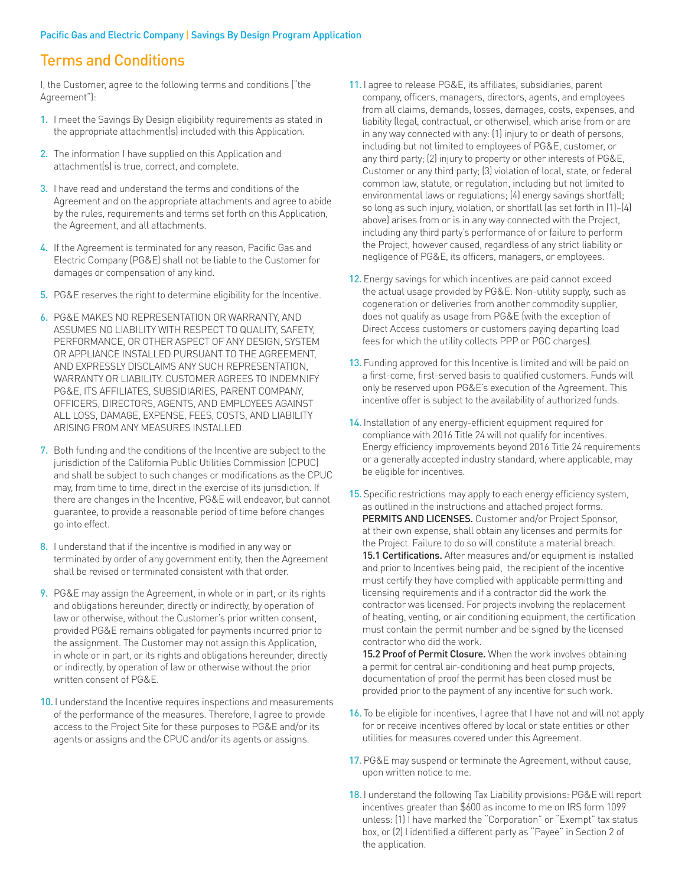### Terms and Conditions

I, the Customer, agree to the following terms and conditions ("the Agreement"):

- 1. I meet the Savings By Design eligibility requirements as stated in the appropriate attachment(s) included with this Application.
- 2. The information I have supplied on this Application and attachment(s) is true, correct, and complete.
- 3. I have read and understand the terms and conditions of the Agreement and on the appropriate attachments and agree to abide by the rules, requirements and terms set forth on this Application, the Agreement, and all attachments.
- 4. If the Agreement is terminated for any reason, Pacific Gas and Electric Company (PG&E) shall not be liable to the Customer for damages or compensation of any kind.
- 5. PG&E reserves the right to determine eligibility for the Incentive.
- 6. PG&E MAKES NO REPRESENTATION OR WARRANTY, AND ASSUMES NO LIABILITY WITH RESPECT TO QUALITY, SAFETY, PERFORMANCE, OR OTHER ASPECT OF ANY DESIGN, SYSTEM OR APPLIANCE INSTALLED PURSUANT TO THE AGREEMENT, AND EXPRESSLY DISCLAIMS ANY SUCH REPRESENTATION, WARRANTY OR LIABILITY. CUSTOMER AGREES TO INDEMNIFY PG&E, ITS AFFILIATES, SUBSIDIARIES, PARENT COMPANY, OFFICERS, DIRECTORS, AGENTS, AND EMPLOYEES AGAINST ALL LOSS, DAMAGE, EXPENSE, FEES, COSTS, AND LIABILITY ARISING FROM ANY MEASURES INSTALLED.
- 7. Both funding and the conditions of the Incentive are subject to the jurisdiction of the California Public Utilities Commission (CPUC) and shall be subject to such changes or modifications as the CPUC may, from time to time, direct in the exercise of its jurisdiction. If there are changes in the Incentive, PG&E will endeavor, but cannot guarantee, to provide a reasonable period of time before changes go into effect.
- 8. I understand that if the incentive is modified in any way or terminated by order of any government entity, then the Agreement shall be revised or terminated consistent with that order.
- 9. PG&E may assign the Agreement, in whole or in part, or its rights and obligations hereunder, directly or indirectly, by operation of law or otherwise, without the Customer's prior written consent, provided PG&E remains obligated for payments incurred prior to the assignment. The Customer may not assign this Application, in whole or in part, or its rights and obligations hereunder, directly or indirectly, by operation of law or otherwise without the prior written consent of PG&E.
- 10. I understand the Incentive requires inspections and measurements of the performance of the measures. Therefore, I agree to provide access to the Project Site for these purposes to PG&E and/or its agents or assigns and the CPUC and/or its agents or assigns.
- 11. I agree to release PG&E, its affiliates, subsidiaries, parent company, officers, managers, directors, agents, and employees from all claims, demands, losses, damages, costs, expenses, and liability (legal, contractual, or otherwise), which arise from or are in any way connected with any: (1) injury to or death of persons, including but not limited to employees of PG&E, customer, or any third party; (2) injury to property or other interests of PG&E, Customer or any third party; (3) violation of local, state, or federal common law, statute, or regulation, including but not limited to environmental laws or regulations; (4) energy savings shortfall; so long as such injury, violation, or shortfall (as set forth in (1)–(4) above) arises from or is in any way connected with the Project, including any third party's performance of or failure to perform the Project, however caused, regardless of any strict liability or negligence of PG&E, its officers, managers, or employees.
- 12. Energy savings for which incentives are paid cannot exceed the actual usage provided by PG&E. Non-utility supply, such as cogeneration or deliveries from another commodity supplier, does not qualify as usage from PG&E (with the exception of Direct Access customers or customers paying departing load fees for which the utility collects PPP or PGC charges).
- 13. Funding approved for this Incentive is limited and will be paid on a first-come, first-served basis to qualified customers. Funds will only be reserved upon PG&E's execution of the Agreement. This incentive offer is subject to the availability of authorized funds.
- 14. Installation of any energy-efficient equipment required for compliance with 2016 Title 24 will not qualify for incentives. Energy efficiency improvements beyond 2016 Title 24 requirements or a generally accepted industry standard, where applicable, may be eligible for incentives.
- 15. Specific restrictions may apply to each energy efficiency system, as outlined in the instructions and attached project forms. PERMITS AND LICENSES. Customer and/or Project Sponsor, at their own expense, shall obtain any licenses and permits for the Project. Failure to do so will constitute a material breach. 15.1 Certifications. After measures and/or equipment is installed and prior to Incentives being paid, the recipient of the incentive must certify they have complied with applicable permitting and licensing requirements and if a contractor did the work the contractor was licensed. For projects involving the replacement of heating, venting, or air conditioning equipment, the certification must contain the permit number and be signed by the licensed contractor who did the work.

15.2 Proof of Permit Closure. When the work involves obtaining a permit for central air-conditioning and heat pump projects, documentation of proof the permit has been closed must be provided prior to the payment of any incentive for such work.

- 16. To be eligible for incentives, I agree that I have not and will not apply for or receive incentives offered by local or state entities or other utilities for measures covered under this Agreement.
- 17. PG&E may suspend or terminate the Agreement, without cause, upon written notice to me.
- 18. I understand the following Tax Liability provisions: PG&E will report incentives greater than \$600 as income to me on IRS form 1099 unless: (1) I have marked the "Corporation" or "Exempt" tax status box, or (2) I identified a different party as "Payee" in Section 2 of the application.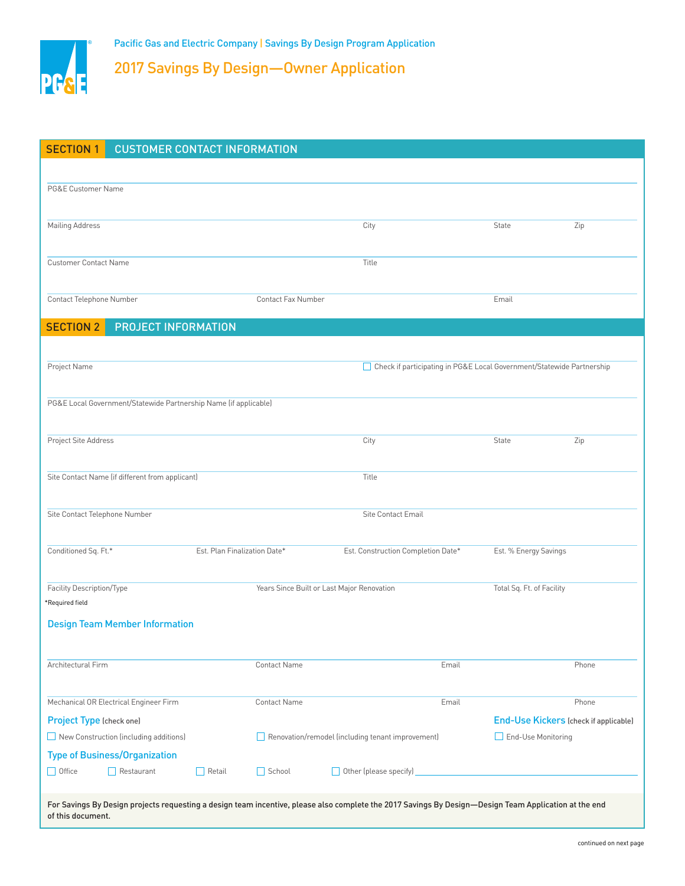

2017 Savings By Design—Owner Application

| <b>SECTION 1</b>                                                                                                                                                           | <b>CUSTOMER CONTACT INFORMATION</b>             |               |                                    |                                                   |                       |                                                                       |       |  |  |  |
|----------------------------------------------------------------------------------------------------------------------------------------------------------------------------|-------------------------------------------------|---------------|------------------------------------|---------------------------------------------------|-----------------------|-----------------------------------------------------------------------|-------|--|--|--|
|                                                                                                                                                                            |                                                 |               |                                    |                                                   |                       |                                                                       |       |  |  |  |
| PG&E Customer Name                                                                                                                                                         |                                                 |               |                                    |                                                   |                       |                                                                       |       |  |  |  |
|                                                                                                                                                                            |                                                 |               |                                    |                                                   |                       |                                                                       |       |  |  |  |
| Mailing Address                                                                                                                                                            |                                                 |               |                                    | City                                              |                       | State                                                                 | Zip   |  |  |  |
|                                                                                                                                                                            |                                                 |               |                                    |                                                   |                       |                                                                       |       |  |  |  |
| <b>Customer Contact Name</b>                                                                                                                                               |                                                 |               |                                    | Title                                             |                       |                                                                       |       |  |  |  |
|                                                                                                                                                                            |                                                 |               |                                    |                                                   |                       |                                                                       |       |  |  |  |
| Contact Telephone Number                                                                                                                                                   |                                                 |               | <b>Contact Fax Number</b>          |                                                   |                       | Email                                                                 |       |  |  |  |
| <b>SECTION 2</b>                                                                                                                                                           | PROJECT INFORMATION                             |               |                                    |                                                   |                       |                                                                       |       |  |  |  |
|                                                                                                                                                                            |                                                 |               |                                    |                                                   |                       |                                                                       |       |  |  |  |
| Project Name                                                                                                                                                               |                                                 |               |                                    |                                                   |                       | Check if participating in PG&E Local Government/Statewide Partnership |       |  |  |  |
|                                                                                                                                                                            |                                                 |               |                                    |                                                   |                       |                                                                       |       |  |  |  |
| PG&E Local Government/Statewide Partnership Name (if applicable)                                                                                                           |                                                 |               |                                    |                                                   |                       |                                                                       |       |  |  |  |
|                                                                                                                                                                            |                                                 |               |                                    |                                                   |                       |                                                                       |       |  |  |  |
| Project Site Address                                                                                                                                                       |                                                 |               |                                    | City                                              |                       | State                                                                 | Zip   |  |  |  |
|                                                                                                                                                                            |                                                 |               |                                    |                                                   |                       |                                                                       |       |  |  |  |
|                                                                                                                                                                            | Site Contact Name (if different from applicant) |               |                                    | Title                                             |                       |                                                                       |       |  |  |  |
|                                                                                                                                                                            |                                                 |               |                                    |                                                   |                       |                                                                       |       |  |  |  |
| Site Contact Telephone Number                                                                                                                                              |                                                 |               |                                    | <b>Site Contact Email</b>                         |                       |                                                                       |       |  |  |  |
|                                                                                                                                                                            |                                                 |               |                                    |                                                   |                       |                                                                       |       |  |  |  |
| Conditioned Sq. Ft.*<br>Est. Plan Finalization Date*                                                                                                                       |                                                 |               | Est. Construction Completion Date* |                                                   | Est. % Energy Savings |                                                                       |       |  |  |  |
|                                                                                                                                                                            |                                                 |               |                                    |                                                   |                       |                                                                       |       |  |  |  |
| Facility Description/Type                                                                                                                                                  |                                                 |               |                                    | Years Since Built or Last Major Renovation        |                       | Total Sq. Ft. of Facility                                             |       |  |  |  |
| *Required field                                                                                                                                                            |                                                 |               |                                    |                                                   |                       |                                                                       |       |  |  |  |
| <b>Design Team Member Information</b>                                                                                                                                      |                                                 |               |                                    |                                                   |                       |                                                                       |       |  |  |  |
|                                                                                                                                                                            |                                                 |               |                                    |                                                   |                       |                                                                       |       |  |  |  |
| Architectural Firm                                                                                                                                                         |                                                 |               | <b>Contact Name</b>                |                                                   | Email                 |                                                                       | Phone |  |  |  |
|                                                                                                                                                                            |                                                 |               |                                    |                                                   |                       |                                                                       |       |  |  |  |
|                                                                                                                                                                            | Mechanical OR Electrical Engineer Firm          |               | <b>Contact Name</b>                |                                                   | Email                 |                                                                       | Phone |  |  |  |
| Project Type (check one)                                                                                                                                                   |                                                 |               |                                    |                                                   |                       | <b>End-Use Kickers (check if applicable)</b>                          |       |  |  |  |
| New Construction (including additions)                                                                                                                                     |                                                 |               |                                    | Renovation/remodel (including tenant improvement) |                       | End-Use Monitoring                                                    |       |  |  |  |
| <b>Type of Business/Organization</b>                                                                                                                                       |                                                 |               |                                    |                                                   |                       |                                                                       |       |  |  |  |
| $\Box$ Office                                                                                                                                                              | $\Box$ Restaurant                               | $\Box$ Retail | $\Box$ School                      | Other (please specify)                            |                       |                                                                       |       |  |  |  |
|                                                                                                                                                                            |                                                 |               |                                    |                                                   |                       |                                                                       |       |  |  |  |
| For Savings By Design projects requesting a design team incentive, please also complete the 2017 Savings By Design—Design Team Application at the end<br>of this document. |                                                 |               |                                    |                                                   |                       |                                                                       |       |  |  |  |